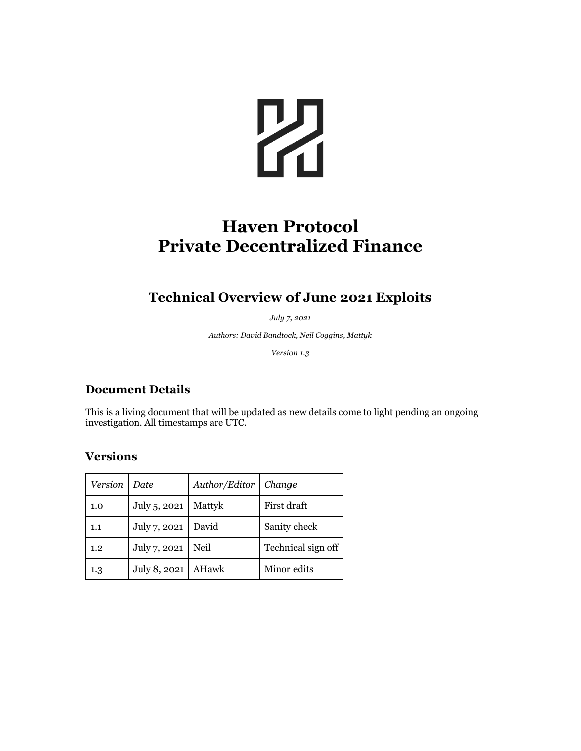

# **Haven Protocol Private Decentralized Finance**

## **Technical Overview of June 2021 Exploits**

*July 7, 2021*

*Authors: David Bandtock, Neil Coggins, Mattyk*

*Version 1.3*

#### **Document Details**

This is a living document that will be updated as new details come to light pending an ongoing investigation. All timestamps are UTC.

## **Versions**

| Version | Date         | Author/Editor | Change             |
|---------|--------------|---------------|--------------------|
| 1.0     | July 5, 2021 | Mattyk        | First draft        |
| 1.1     | July 7, 2021 | David         | Sanity check       |
| 1.2     | July 7, 2021 | Neil          | Technical sign off |
| 1.3     | July 8, 2021 | AHawk         | Minor edits        |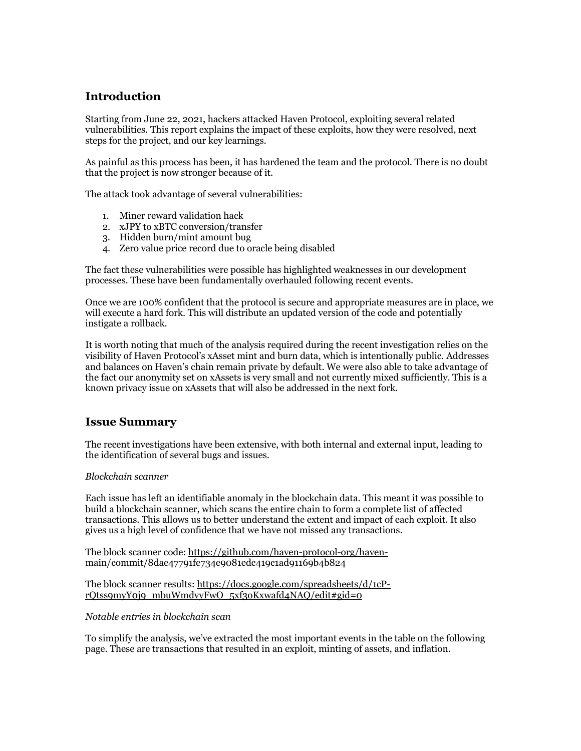## **Introduction**

Starting from June 22, 2021, hackers attacked Haven Protocol, exploiting several related vulnerabilities. This report explains the impact of these exploits, how they were resolved, next steps for the project, and our key learnings.

As painful as this process has been, it has hardened the team and the protocol. There is no doubt that the project is now stronger because of it.

The attack took advantage of several vulnerabilities:

- 1. Miner reward validation hack
- 2. xJPY to xBTC conversion/transfer
- 3. Hidden burn/mint amount bug
- 4. Zero value price record due to oracle being disabled

The fact these vulnerabilities were possible has highlighted weaknesses in our development processes. These have been fundamentally overhauled following recent events.

Once we are 100% confident that the protocol is secure and appropriate measures are in place, we will execute a hard fork. This will distribute an updated version of the code and potentially instigate a rollback.

It is worth noting that much of the analysis required during the recent investigation relies on the visibility of Haven Protocol's xAsset mint and burn data, which is intentionally public. Addresses and balances on Haven's chain remain private by default. We were also able to take advantage of the fact our anonymity set on xAssets is very small and not currently mixed sufficiently. This is a known privacy issue on xAssets that will also be addressed in the next fork.

#### **Issue Summary**

The recent investigations have been extensive, with both internal and external input, leading to the identification of several bugs and issues.

#### *Blockchain scanner*

Each issue has left an identifiable anomaly in the blockchain data. This meant it was possible to build a blockchain scanner, which scans the entire chain to form a complete list of affected transactions. This allows us to better understand the extent and impact of each exploit. It also gives us a high level of confidence that we have not missed any transactions.

The block scanner code: https://github.com/haven-protocol-org/havenmain/commit/8dae47791fe734e9081edc419c1ad91169b4b824

The block scanner results: https://docs.google.com/spreadsheets/d/1cPrQtss9myY0j9\_mbuWmdvyFwO\_5xf3oKxwafd4NAQ/edit#gid=0

*Notable entries in blockchain scan*

To simplify the analysis, we've extracted the most important events in the table on the following page. These are transactions that resulted in an exploit, minting of assets, and inflation.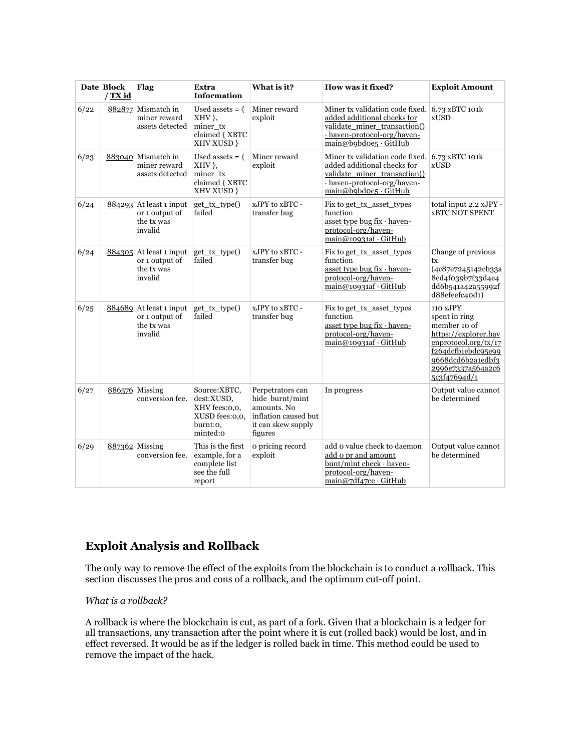|      | Date Block<br>$/$ TX id | Flag                                                                 | Extra<br><b>Information</b>                                                           | What is it?                                                                                                 | How was it fixed?                                                                                                                                                     | <b>Exploit Amount</b>                                                                                                                                                     |
|------|-------------------------|----------------------------------------------------------------------|---------------------------------------------------------------------------------------|-------------------------------------------------------------------------------------------------------------|-----------------------------------------------------------------------------------------------------------------------------------------------------------------------|---------------------------------------------------------------------------------------------------------------------------------------------------------------------------|
| 6/22 |                         | 882877 Mismatch in<br>miner reward<br>assets detected                | Used assets $= \{$<br>XHV },<br>miner tx<br>claimed { XBTC<br>XHV XUSD }              | Miner reward<br>exploit                                                                                     | Miner tx validation code fixed. 6.73 xBTC 101k<br>added additional checks for<br>validate miner transaction()<br>- haven-protocol-org/haven-<br>main@b9bdoe5 · GitHub | <b>xUSD</b>                                                                                                                                                               |
| 6/23 |                         | 883040 Mismatch in<br>miner reward<br>assets detected                | Used assets $= \{$<br>$XHV$ ,<br>miner tx<br>claimed { XBTC<br>XHV XUSD }             | Miner reward<br>exploit                                                                                     | Miner tx validation code fixed.<br>added additional checks for<br>validate miner transaction()<br>- haven-protocol-org/haven-<br>main@b9bdoe5 · GitHub                | 6.73 xBTC 101k<br><b>xUSD</b>                                                                                                                                             |
| 6/24 |                         | $884293$ At least 1 input<br>or 1 output of<br>the tx was<br>invalid | get tx type()<br>failed                                                               | xJPY to xBTC -<br>transfer bug                                                                              | Fix to get tx asset types<br>function<br>asset type bug fix · haven-<br>protocol-org/haven-<br>$\text{main@10931af} \cdot \text{GitHub}$                              | total input 2.2 xJPY -<br><b>xBTC NOT SPENT</b>                                                                                                                           |
| 6/24 |                         | $884305$ At least 1 input<br>or 1 output of<br>the tx was<br>invalid | get tx type()<br>failed                                                               | xJPY to xBTC -<br>transfer bug                                                                              | Fix to get tx asset types<br>function<br>asset type bug fix · haven-<br>protocol-org/haven-<br>$\text{main@10931af} \cdot \text{GitHub}$                              | Change of previous<br>tx<br>(4c87e7245142cb33a<br>8ed4f039b7f33d4e4<br>dd6b541a42a55992f<br>d88efeefc40d1)                                                                |
| 6/25 |                         | $884689$ At least 1 input<br>or 1 output of<br>the tx was<br>invalid | get tx type()<br>failed                                                               | xJPY to xBTC -<br>transfer bug                                                                              | Fix to get tx asset types<br>function<br>asset type bug fix · haven-<br>protocol-org/haven-<br>$\text{main@10931af} \cdot \text{GitHub}$                              | 110 xJPY<br>spent in ring<br>member 10 of<br>https://explorer.hav<br>enprotocol.org/tx/17<br>f264dcfb1ebdc95e99<br>9668dcd6b2a1edbf3<br>2996e7337a564a2c6<br>5c3f47694d/1 |
| 6/27 |                         | 886576 Missing<br>conversion fee.                                    | Source:XBTC,<br>dest:XUSD,<br>XHV fees:0,0,<br>XUSD fees:0,0,<br>burnt:0,<br>minted:0 | Perpetrators can<br>hide burnt/mint<br>amounts. No<br>inflation caused but<br>it can skew supply<br>figures | In progress                                                                                                                                                           | Output value cannot<br>be determined                                                                                                                                      |
| 6/29 |                         | 887362 Missing<br>conversion fee.                                    | This is the first<br>example, for a<br>complete list<br>see the full<br>report        | o pricing record<br>exploit                                                                                 | add o value check to daemon<br>add o pr and amount<br>bunt/mint check · haven-<br>protocol-org/haven-<br>main@7df47ce · GitHub                                        | Output value cannot<br>be determined                                                                                                                                      |

## **Exploit Analysis and Rollback**

The only way to remove the effect of the exploits from the blockchain is to conduct a rollback. This section discusses the pros and cons of a rollback, and the optimum cut-off point.

#### *What is a rollback?*

A rollback is where the blockchain is cut, as part of a fork. Given that a blockchain is a ledger for all transactions, any transaction after the point where it is cut (rolled back) would be lost, and in effect reversed. It would be as if the ledger is rolled back in time. This method could be used to remove the impact of the hack.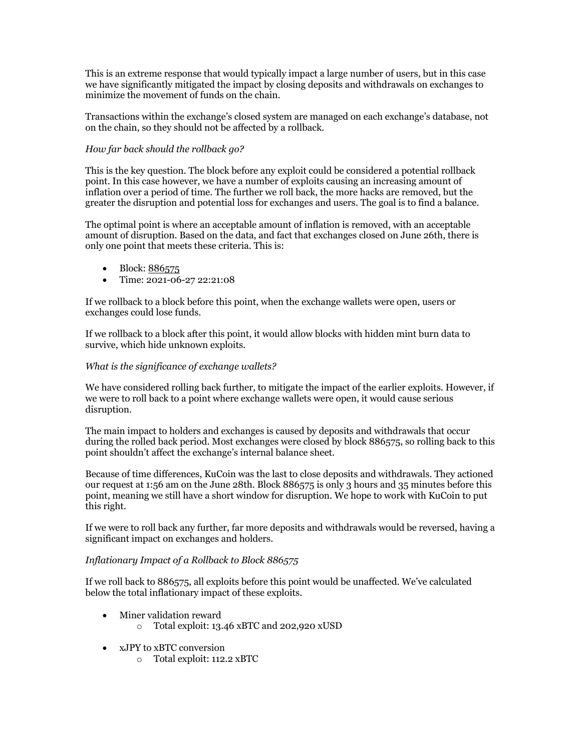This is an extreme response that would typically impact a large number of users, but in this case we have significantly mitigated the impact by closing deposits and withdrawals on exchanges to minimize the movement of funds on the chain.

Transactions within the exchange's closed system are managed on each exchange's database, not on the chain, so they should not be affected by a rollback.

#### *How far back should the rollback go?*

This is the key question. The block before any exploit could be considered a potential rollback point. In this case however, we have a number of exploits causing an increasing amount of inflation over a period of time. The further we roll back, the more hacks are removed, but the greater the disruption and potential loss for exchanges and users. The goal is to find a balance.

The optimal point is where an acceptable amount of inflation is removed, with an acceptable amount of disruption. Based on the data, and fact that exchanges closed on June 26th, there is only one point that meets these criteria. This is:

- Block: 886575
- Time: 2021-06-27 22:21:08

If we rollback to a block before this point, when the exchange wallets were open, users or exchanges could lose funds.

If we rollback to a block after this point, it would allow blocks with hidden mint burn data to survive, which hide unknown exploits.

#### *What is the significance of exchange wallets?*

We have considered rolling back further, to mitigate the impact of the earlier exploits. However, if we were to roll back to a point where exchange wallets were open, it would cause serious disruption.

The main impact to holders and exchanges is caused by deposits and withdrawals that occur during the rolled back period. Most exchanges were closed by block 886575, so rolling back to this point shouldn't affect the exchange's internal balance sheet.

Because of time differences, KuCoin was the last to close deposits and withdrawals. They actioned our request at 1:56 am on the June 28th. Block 886575 is only 3 hours and 35 minutes before this point, meaning we still have a short window for disruption. We hope to work with KuCoin to put this right.

If we were to roll back any further, far more deposits and withdrawals would be reversed, having a significant impact on exchanges and holders.

#### *Inflationary Impact of a Rollback to Block 886575*

If we roll back to 886575, all exploits before this point would be unaffected. We've calculated below the total inflationary impact of these exploits.

- Miner validation reward
	- o Total exploit: 13.46 xBTC and 202,920 xUSD
- xJPY to xBTC conversion
	- o Total exploit: 112.2 xBTC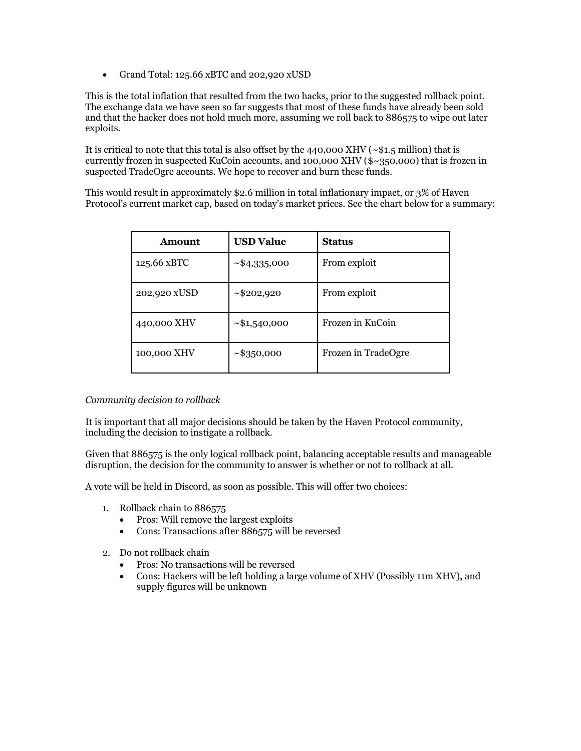• Grand Total: 125.66 xBTC and 202,920 xUSD

This is the total inflation that resulted from the two hacks, prior to the suggested rollback point. The exchange data we have seen so far suggests that most of these funds have already been sold and that the hacker does not hold much more, assuming we roll back to 886575 to wipe out later exploits.

It is critical to note that this total is also offset by the 440,000 XHV (~\$1.5 million) that is currently frozen in suspected KuCoin accounts, and 100,000 XHV (\$~350,000) that is frozen in suspected TradeOgre accounts. We hope to recover and burn these funds.

This would result in approximately \$2.6 million in total inflationary impact, or 3% of Haven Protocol's current market cap, based on today's market prices. See the chart below for a summary:

| Amount       | <b>USD Value</b>   | <b>Status</b>       |  |
|--------------|--------------------|---------------------|--|
| 125.66 xBTC  | ~1.335,000         | From exploit        |  |
| 202,920 xUSD | $\sim$ \$202,920   | From exploit        |  |
| 440,000 XHV  | $\sim$ \$1,540,000 | Frozen in KuCoin    |  |
| 100,000 XHV  | $\sim$ \$350,000   | Frozen in TradeOgre |  |

#### *Community decision to rollback*

It is important that all major decisions should be taken by the Haven Protocol community, including the decision to instigate a rollback.

Given that 886575 is the only logical rollback point, balancing acceptable results and manageable disruption, the decision for the community to answer is whether or not to rollback at all.

A vote will be held in Discord, as soon as possible. This will offer two choices:

- 1. Rollback chain to 886575
	- Pros: Will remove the largest exploits
	- Cons: Transactions after 886575 will be reversed
- 2. Do not rollback chain
	- Pros: No transactions will be reversed
	- Cons: Hackers will be left holding a large volume of XHV (Possibly 11m XHV), and supply figures will be unknown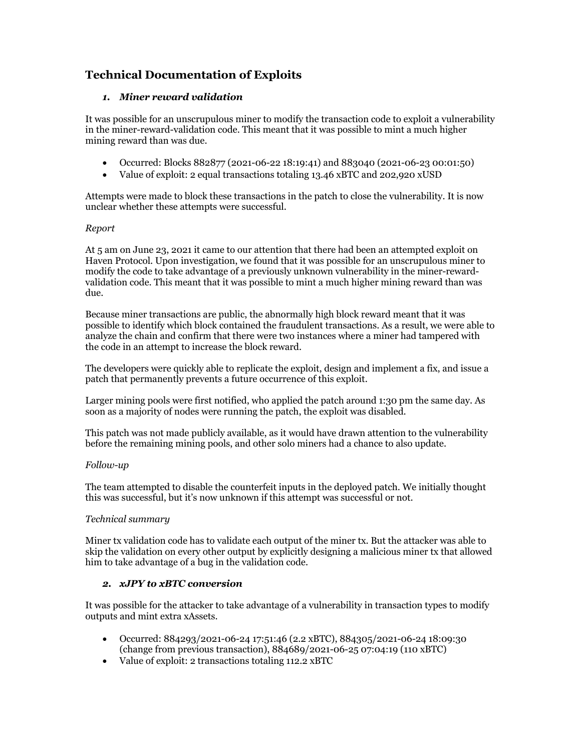## **Technical Documentation of Exploits**

#### *1. Miner reward validation*

It was possible for an unscrupulous miner to modify the transaction code to exploit a vulnerability in the miner-reward-validation code. This meant that it was possible to mint a much higher mining reward than was due.

- Occurred: Blocks 882877 (2021-06-22 18:19:41) and 883040 (2021-06-23 00:01:50)
- Value of exploit: 2 equal transactions totaling 13.46 xBTC and 202,920 xUSD

Attempts were made to block these transactions in the patch to close the vulnerability. It is now unclear whether these attempts were successful.

#### *Report*

At 5 am on June 23, 2021 it came to our attention that there had been an attempted exploit on Haven Protocol. Upon investigation, we found that it was possible for an unscrupulous miner to modify the code to take advantage of a previously unknown vulnerability in the miner-rewardvalidation code. This meant that it was possible to mint a much higher mining reward than was due.

Because miner transactions are public, the abnormally high block reward meant that it was possible to identify which block contained the fraudulent transactions. As a result, we were able to analyze the chain and confirm that there were two instances where a miner had tampered with the code in an attempt to increase the block reward.

The developers were quickly able to replicate the exploit, design and implement a fix, and issue a patch that permanently prevents a future occurrence of this exploit.

Larger mining pools were first notified, who applied the patch around 1:30 pm the same day. As soon as a majority of nodes were running the patch, the exploit was disabled.

This patch was not made publicly available, as it would have drawn attention to the vulnerability before the remaining mining pools, and other solo miners had a chance to also update.

#### *Follow-up*

The team attempted to disable the counterfeit inputs in the deployed patch. We initially thought this was successful, but it's now unknown if this attempt was successful or not.

#### *Technical summary*

Miner tx validation code has to validate each output of the miner tx. But the attacker was able to skip the validation on every other output by explicitly designing a malicious miner tx that allowed him to take advantage of a bug in the validation code.

#### *2. xJPY to xBTC conversion*

It was possible for the attacker to take advantage of a vulnerability in transaction types to modify outputs and mint extra xAssets.

- Occurred: 884293/2021-06-24 17:51:46 (2.2 xBTC), 884305/2021-06-24 18:09:30 (change from previous transaction), 884689/2021-06-25 07:04:19 (110 xBTC)
- Value of exploit: 2 transactions totaling 112.2 xBTC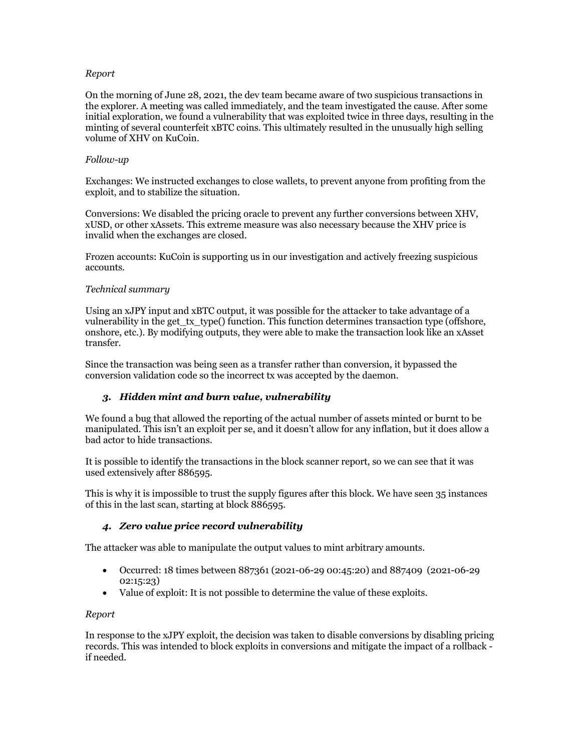#### *Report*

On the morning of June 28, 2021, the dev team became aware of two suspicious transactions in the explorer. A meeting was called immediately, and the team investigated the cause. After some initial exploration, we found a vulnerability that was exploited twice in three days, resulting in the minting of several counterfeit xBTC coins. This ultimately resulted in the unusually high selling volume of XHV on KuCoin.

#### *Follow-up*

Exchanges: We instructed exchanges to close wallets, to prevent anyone from profiting from the exploit, and to stabilize the situation.

Conversions: We disabled the pricing oracle to prevent any further conversions between XHV, xUSD, or other xAssets. This extreme measure was also necessary because the XHV price is invalid when the exchanges are closed.

Frozen accounts: KuCoin is supporting us in our investigation and actively freezing suspicious accounts.

#### *Technical summary*

Using an xJPY input and xBTC output, it was possible for the attacker to take advantage of a vulnerability in the get\_tx\_type() function. This function determines transaction type (offshore, onshore, etc.). By modifying outputs, they were able to make the transaction look like an xAsset transfer.

Since the transaction was being seen as a transfer rather than conversion, it bypassed the conversion validation code so the incorrect tx was accepted by the daemon.

#### *3. Hidden mint and burn value, vulnerability*

We found a bug that allowed the reporting of the actual number of assets minted or burnt to be manipulated. This isn't an exploit per se, and it doesn't allow for any inflation, but it does allow a bad actor to hide transactions.

It is possible to identify the transactions in the block scanner report, so we can see that it was used extensively after 886595.

This is why it is impossible to trust the supply figures after this block. We have seen 35 instances of this in the last scan, starting at block 886595.

#### *4. Zero value price record vulnerability*

The attacker was able to manipulate the output values to mint arbitrary amounts.

- Occurred: 18 times between 887361 (2021-06-29 00:45:20) and 887409 (2021-06-29 02:15:23)
- Value of exploit: It is not possible to determine the value of these exploits.

#### *Report*

In response to the xJPY exploit, the decision was taken to disable conversions by disabling pricing records. This was intended to block exploits in conversions and mitigate the impact of a rollback if needed.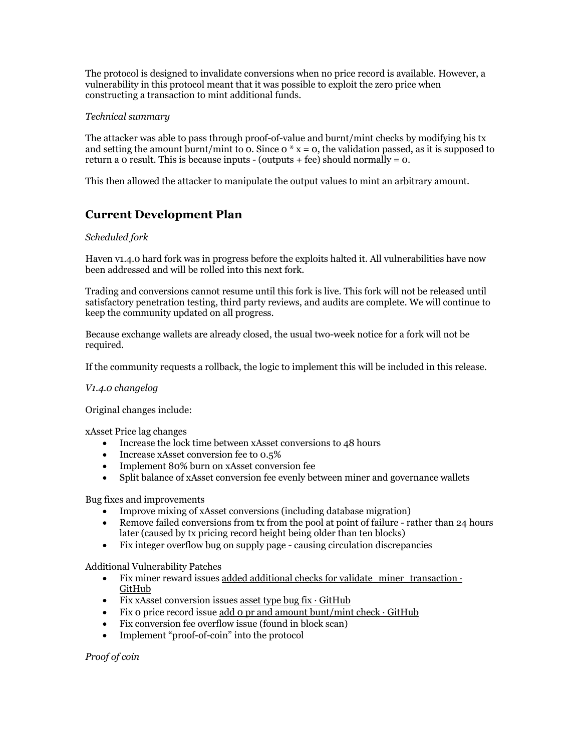The protocol is designed to invalidate conversions when no price record is available. However, a vulnerability in this protocol meant that it was possible to exploit the zero price when constructing a transaction to mint additional funds.

#### *Technical summary*

The attacker was able to pass through proof-of-value and burnt/mint checks by modifying his tx and setting the amount burnt/mint to 0. Since  $0 * x = 0$ , the validation passed, as it is supposed to return a 0 result. This is because inputs - (outputs + fee) should normally =  $\alpha$ .

This then allowed the attacker to manipulate the output values to mint an arbitrary amount.

## **Current Development Plan**

#### *Scheduled fork*

Haven v1.4.0 hard fork was in progress before the exploits halted it. All vulnerabilities have now been addressed and will be rolled into this next fork.

Trading and conversions cannot resume until this fork is live. This fork will not be released until satisfactory penetration testing, third party reviews, and audits are complete. We will continue to keep the community updated on all progress.

Because exchange wallets are already closed, the usual two-week notice for a fork will not be required.

If the community requests a rollback, the logic to implement this will be included in this release.

#### *V1.4.0 changelog*

Original changes include:

xAsset Price lag changes

- Increase the lock time between xAsset conversions to 48 hours
- Increase xAsset conversion fee to 0.5%
- Implement 80% burn on xAsset conversion fee
- Split balance of xAsset conversion fee evenly between miner and governance wallets

Bug fixes and improvements

- Improve mixing of xAsset conversions (including database migration)
- Remove failed conversions from tx from the pool at point of failure rather than 24 hours later (caused by tx pricing record height being older than ten blocks)
- Fix integer overflow bug on supply page causing circulation discrepancies

Additional Vulnerability Patches

- Fix miner reward issues added additional checks for validate miner transaction · **GitHub**
- Fix xAsset conversion issues asset type bug  $fix \cdot GitHub$
- Fix 0 price record issue add 0 pr and amount bunt/mint check  $\cdot$  GitHub
- Fix conversion fee overflow issue (found in block scan)
- Implement "proof-of-coin" into the protocol

*Proof of coin*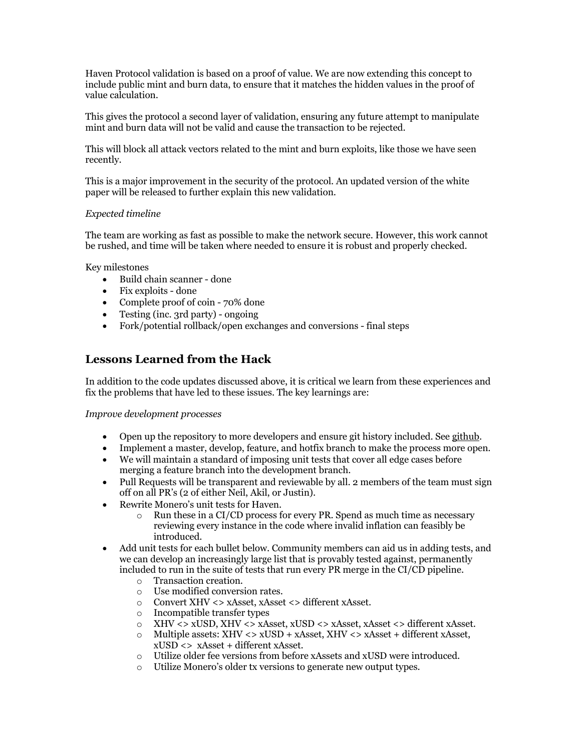Haven Protocol validation is based on a proof of value. We are now extending this concept to include public mint and burn data, to ensure that it matches the hidden values in the proof of value calculation.

This gives the protocol a second layer of validation, ensuring any future attempt to manipulate mint and burn data will not be valid and cause the transaction to be rejected.

This will block all attack vectors related to the mint and burn exploits, like those we have seen recently.

This is a major improvement in the security of the protocol. An updated version of the white paper will be released to further explain this new validation.

#### *Expected timeline*

The team are working as fast as possible to make the network secure. However, this work cannot be rushed, and time will be taken where needed to ensure it is robust and properly checked.

Key milestones

- Build chain scanner done
- Fix exploits done
- Complete proof of coin 70% done
- Testing (inc. 3rd party) ongoing
- Fork/potential rollback/open exchanges and conversions final steps

### **Lessons Learned from the Hack**

In addition to the code updates discussed above, it is critical we learn from these experiences and fix the problems that have led to these issues. The key learnings are:

#### *Improve development processes*

- Open up the repository to more developers and ensure git history included. See github.
- Implement a master, develop, feature, and hotfix branch to make the process more open.
- We will maintain a standard of imposing unit tests that cover all edge cases before merging a feature branch into the development branch.
- Pull Requests will be transparent and reviewable by all. 2 members of the team must sign off on all PR's (2 of either Neil, Akil, or Justin).
- Rewrite Monero's unit tests for Haven.
	- $\circ$  Run these in a CI/CD process for every PR. Spend as much time as necessary reviewing every instance in the code where invalid inflation can feasibly be introduced.
- Add unit tests for each bullet below. Community members can aid us in adding tests, and we can develop an increasingly large list that is provably tested against, permanently included to run in the suite of tests that run every PR merge in the CI/CD pipeline.
	- o Transaction creation.
	- o Use modified conversion rates.
	- o Convert XHV <> xAsset, xAsset <> different xAsset.
	- o Incompatible transfer types
	-
	- o XHV <> xUSD, XHV <> xAsset, xUSD <> xAsset, xAsset <> different xAsset. Multiple assets: XHV <> xUSD + xAsset, XHV <> xAsset + different xAsset, xUSD <> xAsset + different xAsset.
	- o Utilize older fee versions from before xAssets and xUSD were introduced.
	- o Utilize Monero's older tx versions to generate new output types.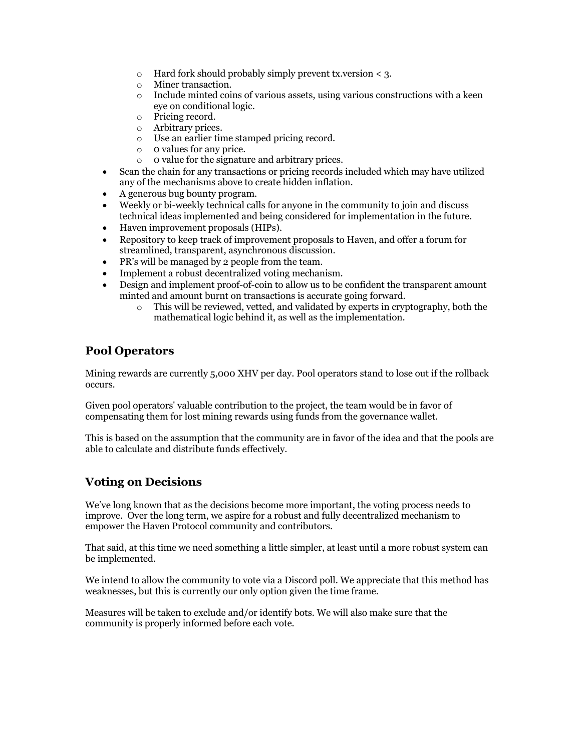- o Hard fork should probably simply prevent tx.version < 3.
- o Miner transaction.
- $\circ$  Include minted coins of various assets, using various constructions with a keen eye on conditional logic.
- o Pricing record.
- o Arbitrary prices.
- o Use an earlier time stamped pricing record.
- o 0 values for any price.
- o 0 value for the signature and arbitrary prices.
- Scan the chain for any transactions or pricing records included which may have utilized any of the mechanisms above to create hidden inflation.
- A generous bug bounty program.
- Weekly or bi-weekly technical calls for anyone in the community to join and discuss technical ideas implemented and being considered for implementation in the future.
- Haven improvement proposals (HIPs).
- Repository to keep track of improvement proposals to Haven, and offer a forum for streamlined, transparent, asynchronous discussion.
- PR's will be managed by 2 people from the team.
- Implement a robust decentralized voting mechanism.
- Design and implement proof-of-coin to allow us to be confident the transparent amount minted and amount burnt on transactions is accurate going forward.
	- $\circ$  This will be reviewed, vetted, and validated by experts in cryptography, both the mathematical logic behind it, as well as the implementation.

## **Pool Operators**

Mining rewards are currently 5,000 XHV per day. Pool operators stand to lose out if the rollback occurs.

Given pool operators' valuable contribution to the project, the team would be in favor of compensating them for lost mining rewards using funds from the governance wallet.

This is based on the assumption that the community are in favor of the idea and that the pools are able to calculate and distribute funds effectively.

## **Voting on Decisions**

We've long known that as the decisions become more important, the voting process needs to improve. Over the long term, we aspire for a robust and fully decentralized mechanism to empower the Haven Protocol community and contributors.

That said, at this time we need something a little simpler, at least until a more robust system can be implemented.

We intend to allow the community to vote via a Discord poll. We appreciate that this method has weaknesses, but this is currently our only option given the time frame.

Measures will be taken to exclude and/or identify bots. We will also make sure that the community is properly informed before each vote.